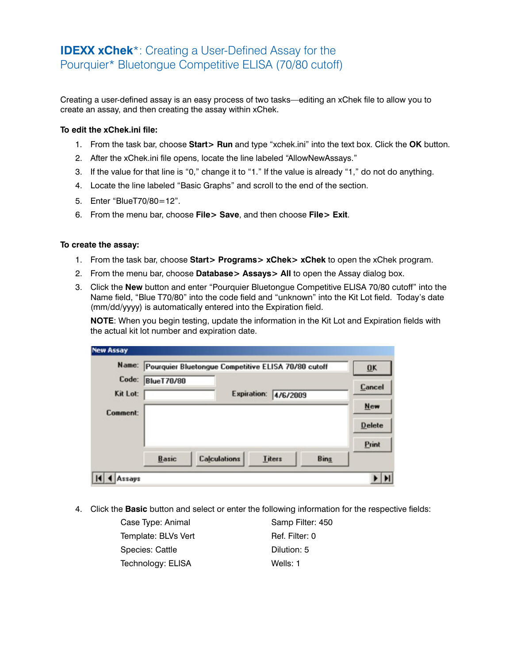## **IDEXX xChek**\*: Creating a User-Defined Assay for the Pourquier\* Bluetongue Competitive ELISA (70/80 cutoff)

Creating a user-defined assay is an easy process of two tasks—editing an xChek file to allow you to create an assay, and then creating the assay within xChek.

## **To edit the xChek.ini file:**

- 1. From the task bar, choose **Start> Run** and type "xchek.ini" into the text box. Click the **OK** button.
- 2. After the xChek.ini file opens, locate the line labeled "AllowNewAssays."
- 3. If the value for that line is "0," change it to "1." If the value is already "1," do not do anything.
- 4. Locate the line labeled "Basic Graphs" and scroll to the end of the section.
- 5. Enter "BlueT70/80=12".
- 6. From the menu bar, choose **File> Save**, and then choose **File> Exit**.

## **To create the assay:**

- 1. From the task bar, choose **Start> Programs> xChek> xChek** to open the xChek program.
- 2. From the menu bar, choose **Database> Assays> All** to open the Assay dialog box.
- 3. Click the **New** button and enter "Pourquier Bluetongue Competitive ELISA 70/80 cutoff" into the Name field, "Blue T70/80" into the code field and "unknown" into the Kit Lot field. Today's date (mm/dd/yyyy) is automatically entered into the Expiration field.

**NOTE:** When you begin testing, update the information in the Kit Lot and Expiration fields with the actual kit lot number and expiration date.

| Name:    | Pourquier Bluetongue Competitive ELISA 70/80 cutoff |                     |               |          |             | QK            |
|----------|-----------------------------------------------------|---------------------|---------------|----------|-------------|---------------|
| Code:    | <b>BlueT70/80</b>                                   |                     |               |          |             |               |
| Kit Lot: |                                                     | Expiration:         |               | 4/6/2009 |             | Cancel        |
| Comment: |                                                     |                     |               |          |             | New           |
|          |                                                     |                     |               |          |             | <b>Delete</b> |
|          |                                                     |                     |               |          |             | Print         |
|          | Basic                                               | <b>Calculations</b> | <b>Titers</b> |          | <b>Bins</b> |               |

4. Click the **Basic** button and select or enter the following information for the respective fields:

| Case Type: Animal   | Samp Filter: 450 |
|---------------------|------------------|
| Template: BLVs Vert | Ref. Filter: 0   |
| Species: Cattle     | Dilution: 5      |
| Technology: ELISA   | Wells: 1         |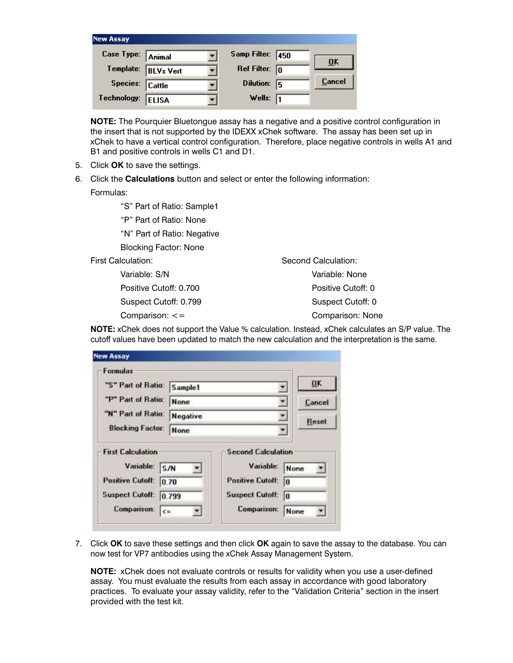| <b>New Assay</b>  |                  |                         |     |        |
|-------------------|------------------|-------------------------|-----|--------|
| Case Type: Animal |                  | Samp Filter: 450        |     | ŪΚ     |
| Template:         | <b>BLVs Vert</b> | Ref Filter: $\boxed{0}$ |     |        |
| Species: Cattle   |                  | Dilution:               | -15 | Cancel |
| Technology:       | <b>ELISA</b>     | Wells: $\sqrt{1}$       |     |        |

**NOTE:** The Pourquier Bluetongue assay has a negative and a positive control configuration in the insert that is not supported by the IDEXX xChek software. The assay has been set up in xChek to have a vertical control configuration. Therefore, place negative controls in wells A1 and B1 and positive controls in wells C1 and D1.

- 5. Click **OK** to save the settings.
- 6. Click the **Calculations** button and select or enter the following information:

Formulas:

- "S" Part of Ratio: Sample1
- "P" Part of Ratio: None

"N" Part of Ratio: Negative

Blocking Factor: None

First Calculation:

 Variable: S/N Positive Cutoff: 0.700 Suspect Cutoff: 0.799 Comparison: <=

Second Calculation: Variable: None Positive Cutoff: 0 Suspect Cutoff: 0 Comparison: None

**NOTE:** xChek does not support the Value % calculation. Instead, xChek calculates an S/P value. The cutoff values have been updated to match the new calculation and the interpretation is the same.

| "S" Part of Ratio:       |                  |                           | <b>DK</b>    |
|--------------------------|------------------|---------------------------|--------------|
|                          | Sample1          |                           |              |
| "P" Part of Ratio:       | None<br>Negative |                           | Cancel       |
| "N" Part of Ratio:       |                  |                           | <b>Reset</b> |
| <b>Blocking Factor:</b>  | None             |                           |              |
| <b>First Calculation</b> |                  | <b>Second Calculation</b> |              |
| Variable:                |                  | Variable:                 |              |
|                          | S/N              |                           | None         |
| <b>Positive Cutoff:</b>  | 0.70             | <b>Positive Cutoff:</b>   | 10           |
|                          |                  |                           |              |
| <b>Suspect Cutoff:</b>   | 0.799            | <b>Suspect Cutoff:</b>    | lo           |

7. Click **OK** to save these settings and then click **OK** again to save the assay to the database. You can now test for VP7 antibodies using the xChek Assay Management System.

**NOTE:** xChek does not evaluate controls or results for validity when you use a user-defined assay. You must evaluate the results from each assay in accordance with good laboratory practices. To evaluate your assay validity, refer to the "Validation Criteria" section in the insert provided with the test kit.